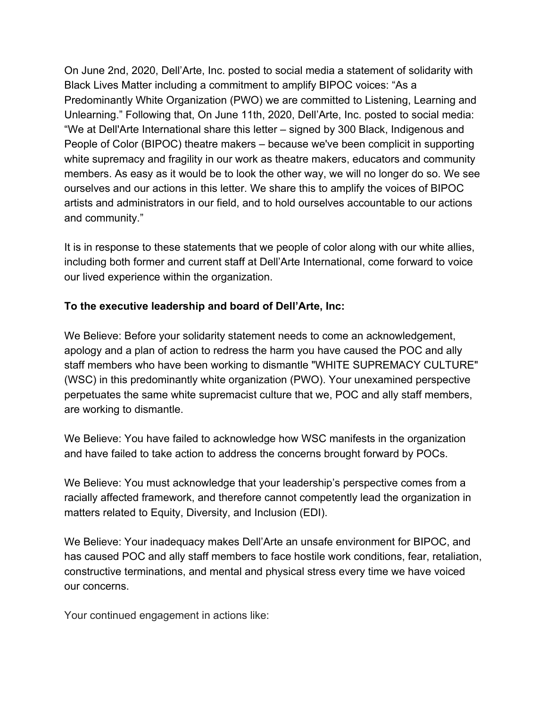On June 2nd, 2020, Dell'Arte, Inc. posted to social media a statement of solidarity with Black Lives Matter including a commitment to amplify BIPOC voices: "As a Predominantly White Organization (PWO) we are committed to Listening, Learning and Unlearning." Following that, On June 11th, 2020, Dell'Arte, Inc. posted to social media: "We at Dell'Arte International share this letter – signed by 300 Black, Indigenous and People of Color (BIPOC) theatre makers – because we've been complicit in supporting white supremacy and fragility in our work as theatre makers, educators and community members. As easy as it would be to look the other way, we will no longer do so. We see ourselves and our actions in this letter. We share this to amplify the voices of BIPOC artists and administrators in our field, and to hold ourselves accountable to our actions and community."

It is in response to these statements that we people of color along with our white allies, including both former and current staff at Dell'Arte International, come forward to voice our lived experience within the organization.

## **To the executive leadership and board of Dell'Arte, Inc:**

We Believe: Before your solidarity statement needs to come an acknowledgement, apology and a plan of action to redress the harm you have caused the POC and ally staff members who have been working to dismantle "WHITE SUPREMACY CULTURE" (WSC) in this predominantly white organization (PWO). Your unexamined perspective perpetuates the same white supremacist culture that we, POC and ally staff members, are working to dismantle.

We Believe: You have failed to acknowledge how WSC manifests in the organization and have failed to take action to address the concerns brought forward by POCs.

We Believe: You must acknowledge that your leadership's perspective comes from a racially affected framework, and therefore cannot competently lead the organization in matters related to Equity, Diversity, and Inclusion (EDI).

We Believe: Your inadequacy makes Dell'Arte an unsafe environment for BIPOC, and has caused POC and ally staff members to face hostile work conditions, fear, retaliation, constructive terminations, and mental and physical stress every time we have voiced our concerns.

Your continued engagement in actions like: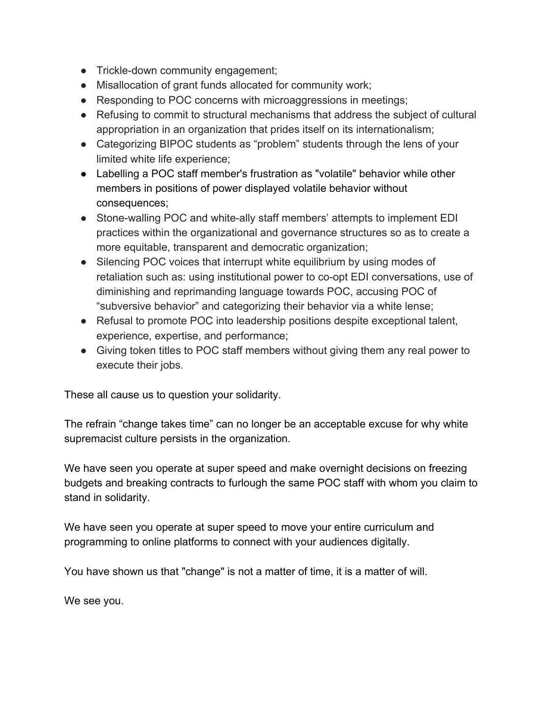- Trickle-down community engagement;
- Misallocation of grant funds allocated for community work;
- Responding to POC concerns with microaggressions in meetings;
- Refusing to commit to structural mechanisms that address the subject of cultural appropriation in an organization that prides itself on its internationalism;
- Categorizing BIPOC students as "problem" students through the lens of your limited white life experience;
- Labelling a POC staff member's frustration as "volatile" behavior while other members in positions of power displayed volatile behavior without consequences;
- Stone-walling POC and white-ally staff members' attempts to implement EDI practices within the organizational and governance structures so as to create a more equitable, transparent and democratic organization;
- Silencing POC voices that interrupt white equilibrium by using modes of retaliation such as: using institutional power to co-opt EDI conversations, use of diminishing and reprimanding language towards POC, accusing POC of "subversive behavior" and categorizing their behavior via a white lense;
- Refusal to promote POC into leadership positions despite exceptional talent, experience, expertise, and performance;
- Giving token titles to POC staff members without giving them any real power to execute their jobs.

These all cause us to question your solidarity.

The refrain "change takes time" can no longer be an acceptable excuse for why white supremacist culture persists in the organization.

We have seen you operate at super speed and make overnight decisions on freezing budgets and breaking contracts to furlough the same POC staff with whom you claim to stand in solidarity.

We have seen you operate at super speed to move your entire curriculum and programming to online platforms to connect with your audiences digitally.

You have shown us that "change" is not a matter of time, it is a matter of will.

We see you.